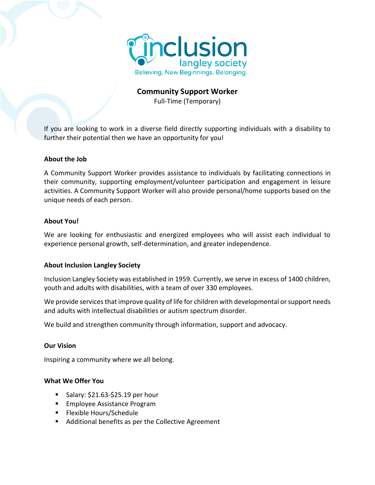

# **Community Support Worker**

Full-Time (Temporary)

If you are looking to work in a diverse field directly supporting individuals with a disability to further their potential then we have an opportunity for you!

## **About the Job**

A Community Support Worker provides assistance to individuals by facilitating connections in their community, supporting employment/volunteer participation and engagement in leisure activities. A Community Support Worker will also provide personal/home supports based on the unique needs of each person.

#### **About You!**

We are looking for enthusiastic and energized employees who will assist each individual to experience personal growth, self-determination, and greater independence.

## **About Inclusion Langley Society**

Inclusion Langley Society was established in 1959. Currently, we serve in excess of 1400 children, youth and adults with disabilities, with a team of over 330 employees.

We provide services that improve quality of life for children with developmental or support needs and adults with intellectual disabilities or autism spectrum disorder.

We build and strengthen community through information, support and advocacy.

#### **Our Vision**

Inspiring a community where we all belong.

### **What We Offer You**

- $\blacksquare$  Salary: \$21.63-\$25.19 per hour
- Employee Assistance Program
- Flexible Hours/Schedule
- Additional benefits as per the Collective Agreement